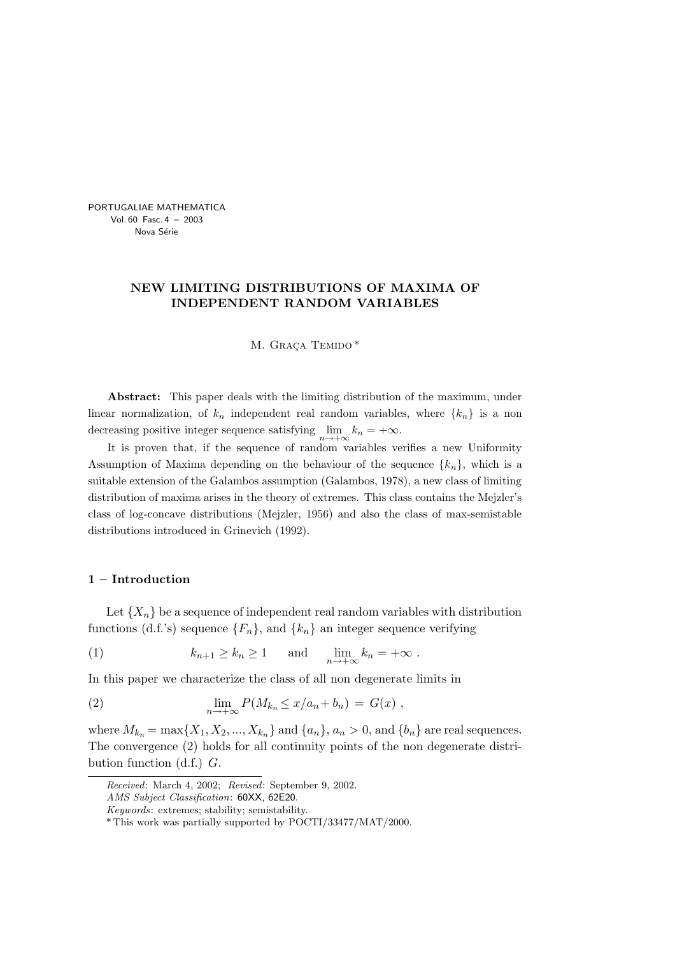PORTUGALIAE MATHEMATICA Vol. 60 Fasc. 4 – 2003 Nova Série

# NEW LIMITING DISTRIBUTIONS OF MAXIMA OF INDEPENDENT RANDOM VARIABLES

M. GRAÇA TEMIDO\*

Abstract: This paper deals with the limiting distribution of the maximum, under linear normalization, of  $k_n$  independent real random variables, where  $\{k_n\}$  is a non decreasing positive integer sequence satisfying  $\lim_{n \to +\infty} k_n = +\infty$ .

It is proven that, if the sequence of random variables verifies a new Uniformity Assumption of Maxima depending on the behaviour of the sequence  $\{k_n\}$ , which is a suitable extension of the Galambos assumption (Galambos, 1978), a new class of limiting distribution of maxima arises in the theory of extremes. This class contains the Mejzler's class of log-concave distributions (Mejzler, 1956) and also the class of max-semistable distributions introduced in Grinevich (1992).

#### 1 – Introduction

Let  $\{X_n\}$  be a sequence of independent real random variables with distribution functions (d.f.'s) sequence  $\{F_n\}$ , and  $\{k_n\}$  an integer sequence verifying

(1) 
$$
k_{n+1} \ge k_n \ge 1
$$
 and  $\lim_{n \to +\infty} k_n = +\infty$ .

In this paper we characterize the class of all non degenerate limits in

(2) 
$$
\lim_{n \to +\infty} P(M_{k_n} \le x/a_n + b_n) = G(x) ,
$$

where  $M_{k_n} = \max\{X_1, X_2, ..., X_{k_n}\}\$  and  $\{a_n\}, a_n > 0$ , and  $\{b_n\}$  are real sequences. The convergence (2) holds for all continuity points of the non degenerate distribution function  $(d.f.)$   $G.$ 

Received: March 4, 2002; Revised: September 9, 2002.

AMS Subject Classification: 60XX, 62E20.

Keywords: extremes; stability; semistability.

<sup>\*</sup> This work was partially supported by POCTI/33477/MAT/2000.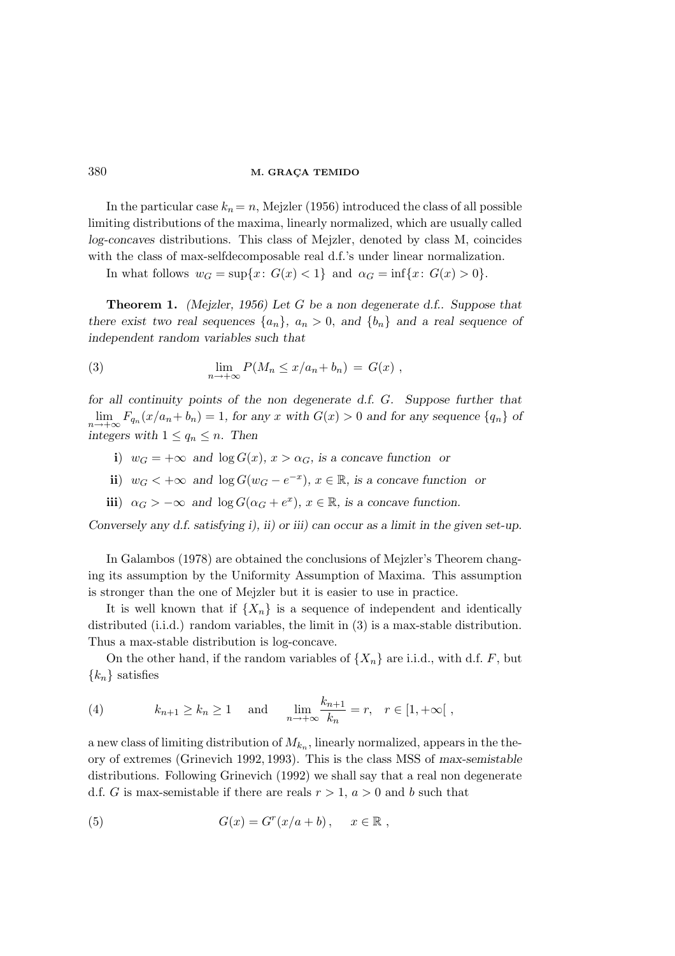In the particular case  $k_n = n$ , Mejzler (1956) introduced the class of all possible limiting distributions of the maxima, linearly normalized, which are usually called log-concaves distributions. This class of Mejzler, denoted by class M, coincides with the class of max-selfdecomposable real d.f.'s under linear normalization.

In what follows  $w_G = \sup\{x: G(x) < 1\}$  and  $\alpha_G = \inf\{x: G(x) > 0\}.$ 

Theorem 1. (Mejzler, 1956) Let G be a non degenerate d.f.. Suppose that there exist two real sequences  $\{a_n\}$ ,  $a_n > 0$ , and  $\{b_n\}$  and a real sequence of independent random variables such that

(3) 
$$
\lim_{n \to +\infty} P(M_n \le x/a_n + b_n) = G(x) ,
$$

for all continuity points of the non degenerate d.f. G. Suppose further that  $\lim_{n \to +\infty} F_{q_n}(x/a_n + b_n) = 1$ , for any x with  $G(x) > 0$  and for any sequence  $\{q_n\}$  of integers with  $1 \le q_n \le n$ . Then

- i)  $w_G = +\infty$  and  $\log G(x)$ ,  $x > \alpha_G$ , is a concave function or
- ii)  $w_G < +\infty$  and  $\log G(w_G e^{-x})$ ,  $x \in \mathbb{R}$ , is a concave function or
- iii)  $\alpha_G > -\infty$  and  $\log G(\alpha_G + e^x)$ ,  $x \in \mathbb{R}$ , is a concave function.

Conversely any d.f. satisfying i), ii) or iii) can occur as a limit in the given set-up.

In Galambos (1978) are obtained the conclusions of Mejzler's Theorem changing its assumption by the Uniformity Assumption of Maxima. This assumption is stronger than the one of Mejzler but it is easier to use in practice.

It is well known that if  $\{X_n\}$  is a sequence of independent and identically distributed (i.i.d.) random variables, the limit in (3) is a max-stable distribution. Thus a max-stable distribution is log-concave.

On the other hand, if the random variables of  $\{X_n\}$  are i.i.d., with d.f. F, but  ${k_n}$  satisfies

(4) 
$$
k_{n+1} \ge k_n \ge 1
$$
 and  $\lim_{n \to +\infty} \frac{k_{n+1}}{k_n} = r, \quad r \in [1, +\infty]$ ,

a new class of limiting distribution of  $M_{k_n}$ , linearly normalized, appears in the theory of extremes (Grinevich 1992, 1993). This is the class MSS of max-semistable distributions. Following Grinevich (1992) we shall say that a real non degenerate d.f. G is max-semistable if there are reals  $r > 1$ ,  $a > 0$  and b such that

(5) 
$$
G(x) = Gr(x/a + b), \quad x \in \mathbb{R},
$$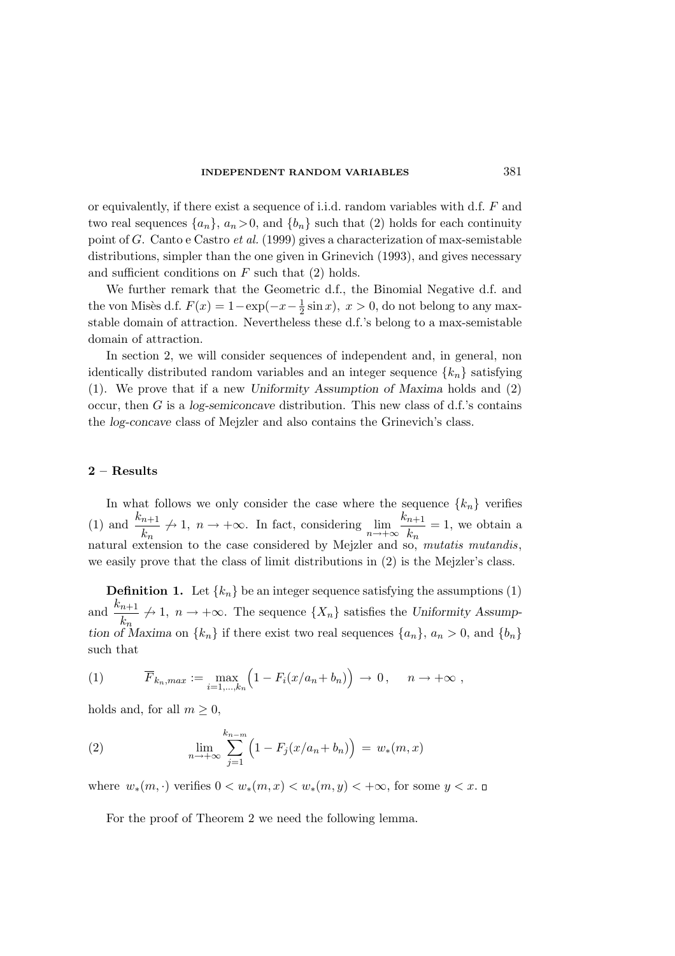### INDEPENDENT RANDOM VARIABLES 381

or equivalently, if there exist a sequence of i.i.d. random variables with d.f. F and two real sequences  $\{a_n\}$ ,  $a_n > 0$ , and  $\{b_n\}$  such that (2) holds for each continuity point of G. Canto e Castro et al. (1999) gives a characterization of max-semistable distributions, simpler than the one given in Grinevich (1993), and gives necessary and sufficient conditions on  $F$  such that  $(2)$  holds.

We further remark that the Geometric d.f., the Binomial Negative d.f. and the von Misès d.f.  $F(x) = 1 - \exp(-x - \frac{1}{2})$  $\frac{1}{2}\sin x$ ,  $x > 0$ , do not belong to any maxstable domain of attraction. Nevertheless these d.f.'s belong to a max-semistable domain of attraction.

In section 2, we will consider sequences of independent and, in general, non identically distributed random variables and an integer sequence  $\{k_n\}$  satisfying (1). We prove that if a new Uniformity Assumption of Maxima holds and (2) occur, then  $G$  is a log-semiconcave distribution. This new class of d.f.'s contains the log-concave class of Mejzler and also contains the Grinevich's class.

## 2 – Results

In what follows we only consider the case where the sequence  $\{k_n\}$  verifies (1) and  $\frac{k_{n+1}}{1}$  $\frac{n+1}{k_n} \nrightarrow 1, \quad n \rightarrow +\infty$ . In fact, considering  $\lim_{n \rightarrow +\infty} \frac{k_{n+1}}{k_n}$  $\frac{n+1}{k_n} = 1$ , we obtain a natural extension to the case considered by Mejzler and so, mutatis mutandis, we easily prove that the class of limit distributions in (2) is the Mejzler's class.

**Definition 1.** Let  $\{k_n\}$  be an integer sequence satisfying the assumptions (1) and  $\frac{k_{n+1}}{l}$  $\frac{n+1}{k_n} \nrightarrow 1$ ,  $n \rightarrow +\infty$ . The sequence  $\{X_n\}$  satisfies the Uniformity Assumption of Maxima on  $\{k_n\}$  if there exist two real sequences  $\{a_n\}$ ,  $a_n > 0$ , and  $\{b_n\}$ such that

(1) 
$$
\overline{F}_{k_n, max} := \max_{i=1,\dots,k_n} \left(1 - F_i(x/a_n + b_n)\right) \to 0, \quad n \to +\infty,
$$

holds and, for all  $m \geq 0$ ,

(2) 
$$
\lim_{n \to +\infty} \sum_{j=1}^{k_{n-m}} \left(1 - F_j(x/a_n + b_n)\right) = w_*(m, x)
$$

where  $w_*(m,.)$  verifies  $0 < w_*(m, x) < w_*(m, y) < +\infty$ , for some  $y < x$ . □

For the proof of Theorem 2 we need the following lemma.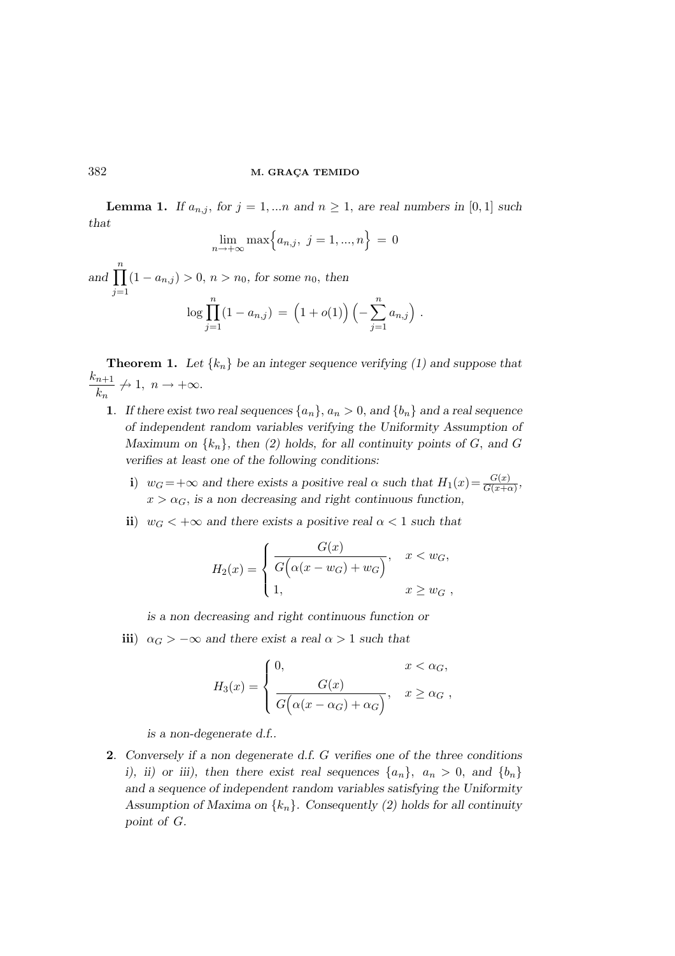**Lemma 1.** If  $a_{n,j}$ , for  $j = 1,...n$  and  $n \geq 1$ , are real numbers in [0,1] such that

$$
\lim_{n \to +\infty} \max\Big\{a_{n,j}, \ j = 1, ..., n\Big\} = 0
$$

and  $\prod_{n=1}^{\infty}$  $j=1$  $(1 - a_{n,j}) > 0, n > n_0$ , for some  $n_0$ , then  $\log \prod_{i=1}^{n} (1 - a_{n,i}) = (1 + o(1)) \left( - \sum_{i=1}^{n} \right)$ 

$$
\log \prod_{j=1} (1 - a_{n,j}) = (1 + o(1)) \left( - \sum_{j=1} a_{n,j} \right).
$$

**Theorem 1.** Let  $\{k_n\}$  be an integer sequence verifying (1) and suppose that  $k_{n+1}$  $\frac{n+1}{k_n} \nrightarrow 1, \; n \rightarrow +\infty.$ 

- 1. If there exist two real sequences  $\{a_n\}$ ,  $a_n > 0$ , and  $\{b_n\}$  and a real sequence of independent random variables verifying the Uniformity Assumption of Maximum on  $\{k_n\}$ , then (2) holds, for all continuity points of G, and G verifies at least one of the following conditions:
	- i)  $w_G = +\infty$  and there exists a positive real  $\alpha$  such that  $H_1(x) = \frac{G(x)}{G(x)+d}$  $\frac{G(x)}{G(x+\alpha)}$  $x > \alpha_G$ , is a non decreasing and right continuous function,
	- ii)  $w_G < +\infty$  and there exists a positive real  $\alpha < 1$  such that

$$
H_2(x) = \begin{cases} \frac{G(x)}{G(\alpha(x - w_G) + w_G)}, & x < w_G, \\ 1, & x \ge w_G, \end{cases}
$$

is a non decreasing and right continuous function or

iii)  $\alpha_G > -\infty$  and there exist a real  $\alpha > 1$  such that

$$
H_3(x) = \begin{cases} 0, & x < \alpha_G, \\ \frac{G(x)}{G(\alpha(x - \alpha_G) + \alpha_G)}, & x \ge \alpha_G, \end{cases}
$$

is a non-degenerate d.f..

2. Conversely if a non degenerate d.f. G verifies one of the three conditions i), ii) or iii), then there exist real sequences  $\{a_n\}$ ,  $a_n > 0$ , and  $\{b_n\}$ and a sequence of independent random variables satisfying the Uniformity Assumption of Maxima on  $\{k_n\}$ . Consequently (2) holds for all continuity point of G.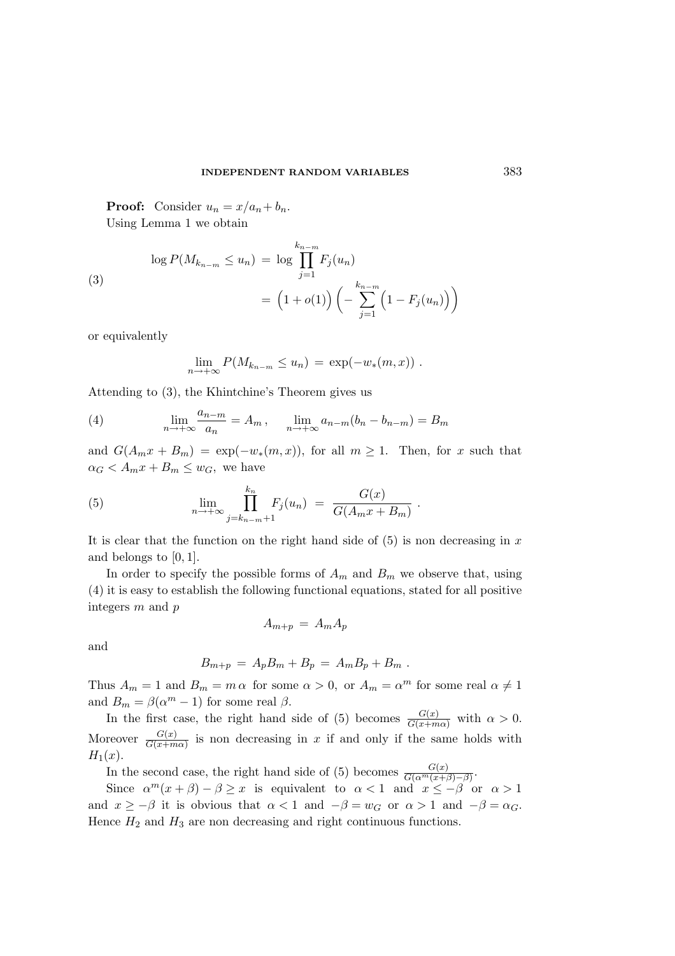#### INDEPENDENT RANDOM VARIABLES 383

**Proof:** Consider  $u_n = x/a_n + b_n$ . Using Lemma 1 we obtain

(3)  
\n
$$
\log P(M_{k_{n-m}} \le u_n) = \log \prod_{j=1}^{k_{n-m}} F_j(u_n)
$$
\n
$$
= (1 + o(1)) \left( - \sum_{j=1}^{k_{n-m}} (1 - F_j(u_n)) \right)
$$

or equivalently

$$
\lim_{n \to +\infty} P(M_{k_{n-m}} \le u_n) = \exp(-w_*(m, x)) \; .
$$

Attending to (3), the Khintchine's Theorem gives us

(4) 
$$
\lim_{n \to +\infty} \frac{a_{n-m}}{a_n} = A_m, \quad \lim_{n \to +\infty} a_{n-m}(b_n - b_{n-m}) = B_m
$$

and  $G(A_m x + B_m) = \exp(-w_*(m, x))$ , for all  $m \ge 1$ . Then, for x such that  $\alpha_G < A_m x + B_m \leq w_G$ , we have

(5) 
$$
\lim_{n \to +\infty} \prod_{j=k_{n-m}+1}^{k_n} F_j(u_n) = \frac{G(x)}{G(A_m x + B_m)}.
$$

It is clear that the function on the right hand side of  $(5)$  is non decreasing in x and belongs to [0, 1].

In order to specify the possible forms of  $A_m$  and  $B_m$  we observe that, using (4) it is easy to establish the following functional equations, stated for all positive integers m and p

$$
A_{m+p} = A_m A_p
$$

and

$$
B_{m+p} = A_p B_m + B_p = A_m B_p + B_m.
$$

Thus  $A_m = 1$  and  $B_m = m \alpha$  for some  $\alpha > 0$ , or  $A_m = \alpha^m$  for some real  $\alpha \neq 1$ and  $B_m = \beta(\alpha^m - 1)$  for some real  $\beta$ .

In the first case, the right hand side of (5) becomes  $\frac{G(x)}{G(x+m\alpha)}$  with  $\alpha > 0$ . Moreover  $\frac{G(x)}{G(x+m)}$  $\frac{G(x)}{G(x+m\alpha)}$  is non decreasing in x if and only if the same holds with  $H_1(x)$ .

In the second case, the right hand side of (5) becomes  $\frac{G(x)}{G(\alpha^m(x))}$  $\frac{G(x)}{G(\alpha^m(x+\beta)-\beta)}$ .

Since  $\alpha^{m}(x+\beta)-\beta\geq x$  is equivalent to  $\alpha<1$  and  $x\leq -\beta$  or  $\alpha>1$ and  $x \ge -\beta$  it is obvious that  $\alpha < 1$  and  $-\beta = w_G$  or  $\alpha > 1$  and  $-\beta = \alpha_G$ . Hence  $H_2$  and  $H_3$  are non decreasing and right continuous functions.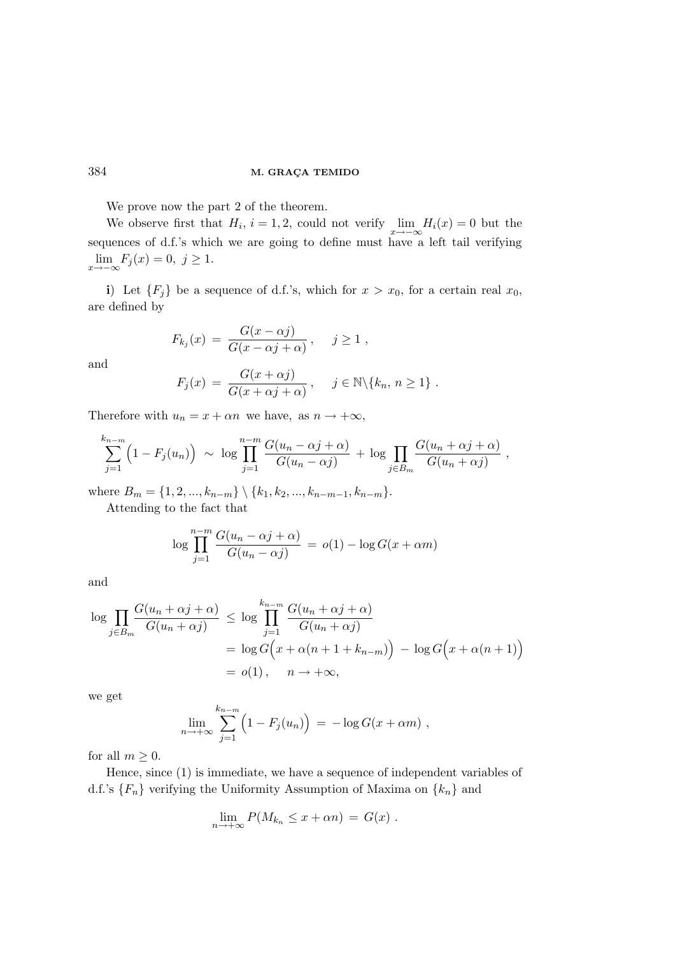We prove now the part 2 of the theorem.

We observe first that  $H_i$ ,  $i = 1, 2$ , could not verify  $\lim_{x \to -\infty} H_i(x) = 0$  but the sequences of d.f.'s which we are going to define must have a left tail verifying  $\lim_{x \to -\infty} F_j(x) = 0, \ j \ge 1.$ 

i) Let  ${F<sub>j</sub>}$  be a sequence of d.f.'s, which for  $x > x_0$ , for a certain real  $x_0$ , are defined by

$$
F_{k_j}(x) = \frac{G(x - \alpha j)}{G(x - \alpha j + \alpha)}, \quad j \ge 1,
$$

and

$$
F_j(x) = \frac{G(x + \alpha j)}{G(x + \alpha j + \alpha)}, \quad j \in \mathbb{N} \setminus \{k_n, n \ge 1\}.
$$

Therefore with  $u_n = x + \alpha n$  we have, as  $n \to +\infty$ ,

$$
\sum_{j=1}^{k_{n-m}} \left(1 - F_j(u_n)\right) \sim \log \prod_{j=1}^{n-m} \frac{G(u_n - \alpha j + \alpha)}{G(u_n - \alpha j)} + \log \prod_{j \in B_m} \frac{G(u_n + \alpha j + \alpha)}{G(u_n + \alpha j)},
$$

where  $B_m = \{1, 2, ..., k_{n-m}\} \setminus \{k_1, k_2, ..., k_{n-m-1}, k_{n-m}\}.$ 

Attending to the fact that

$$
\log \prod_{j=1}^{n-m} \frac{G(u_n - \alpha j + \alpha)}{G(u_n - \alpha j)} = o(1) - \log G(x + \alpha m)
$$

and

$$
\log \prod_{j \in B_m} \frac{G(u_n + \alpha j + \alpha)}{G(u_n + \alpha j)} \le \log \prod_{j=1}^{k_{n-m}} \frac{G(u_n + \alpha j + \alpha)}{G(u_n + \alpha j)}
$$
  
=  $\log G(x + \alpha (n + 1 + k_{n-m})) - \log G(x + \alpha (n + 1))$   
=  $o(1), \quad n \to +\infty,$ 

we get

$$
\lim_{n \to +\infty} \sum_{j=1}^{k_{n-m}} \left(1 - F_j(u_n)\right) = -\log G(x + \alpha m) ,
$$

for all  $m \geq 0$ .

Hence, since (1) is immediate, we have a sequence of independent variables of d.f.'s  ${F_n}$  verifying the Uniformity Assumption of Maxima on  ${k_n}$  and

$$
\lim_{n \to +\infty} P(M_{k_n} \leq x + \alpha n) = G(x) .
$$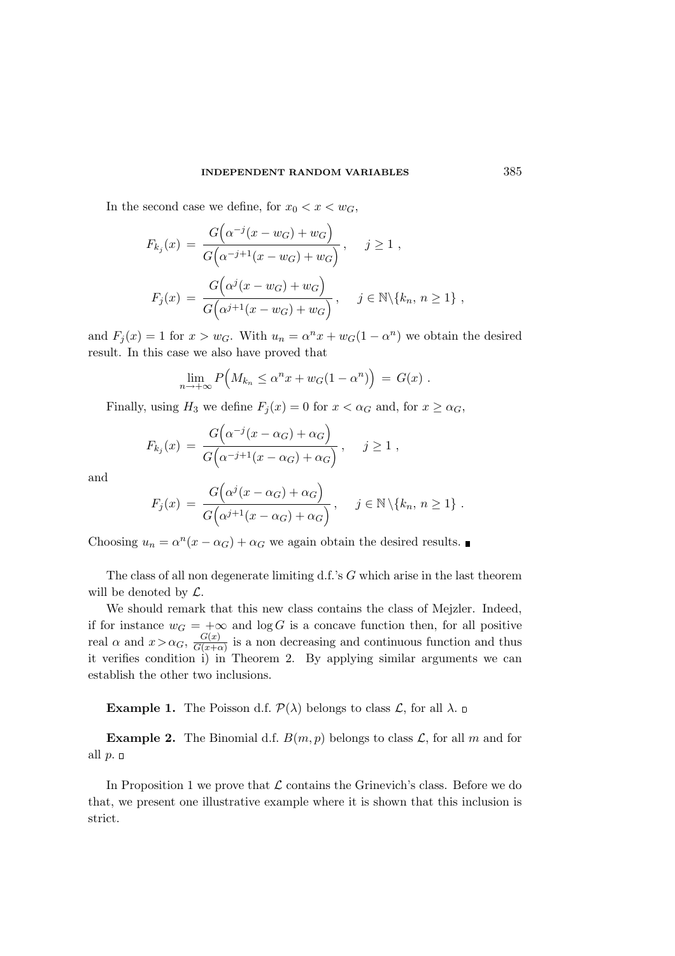In the second case we define, for  $x_0 < x < w_G$ ,

$$
F_{k_j}(x) = \frac{G(\alpha^{-j}(x - w_G) + w_G)}{G(\alpha^{-j+1}(x - w_G) + w_G)}, \quad j \ge 1,
$$
  

$$
F_j(x) = \frac{G(\alpha^{j}(x - w_G) + w_G)}{G(\alpha^{j+1}(x - w_G) + w_G)}, \quad j \in \mathbb{N} \setminus \{k_n, n \ge 1\},
$$

and  $F_j(x) = 1$  for  $x > w_G$ . With  $u_n = \alpha^n x + w_G(1 - \alpha^n)$  we obtain the desired result. In this case we also have proved that

$$
\lim_{n \to +\infty} P\Big(M_{k_n} \leq \alpha^n x + w_G(1 - \alpha^n)\Big) = G(x) .
$$

Finally, using  $H_3$  we define  $F_j(x) = 0$  for  $x < \alpha_G$  and, for  $x \ge \alpha_G$ ,

$$
F_{k_j}(x) = \frac{G(\alpha^{-j}(x - \alpha_G) + \alpha_G)}{G(\alpha^{-j+1}(x - \alpha_G) + \alpha_G)}, \quad j \ge 1,
$$

and

$$
F_j(x) = \frac{G(\alpha^j(x - \alpha_G) + \alpha_G)}{G(\alpha^{j+1}(x - \alpha_G) + \alpha_G)}, \quad j \in \mathbb{N} \setminus \{k_n, n \ge 1\}.
$$

Choosing  $u_n = \alpha^n(x - \alpha_G) + \alpha_G$  we again obtain the desired results.

The class of all non degenerate limiting d.f.'s G which arise in the last theorem will be denoted by  $\mathcal{L}$ .

We should remark that this new class contains the class of Mejzler. Indeed, if for instance  $w_G = +\infty$  and  $\log G$  is a concave function then, for all positive real  $\alpha$  and  $x > \alpha_G$ ,  $\frac{G(x)}{G(x+\alpha)}$  $\frac{G(x)}{G(x+\alpha)}$  is a non decreasing and continuous function and thus it verifies condition i) in Theorem 2. By applying similar arguments we can establish the other two inclusions.

**Example 1.** The Poisson d.f.  $\mathcal{P}(\lambda)$  belongs to class  $\mathcal{L}$ , for all  $\lambda$ .

**Example 2.** The Binomial d.f.  $B(m, p)$  belongs to class  $\mathcal{L}$ , for all m and for all  $p.$   $\Box$ 

In Proposition 1 we prove that  $\mathcal L$  contains the Grinevich's class. Before we do that, we present one illustrative example where it is shown that this inclusion is strict.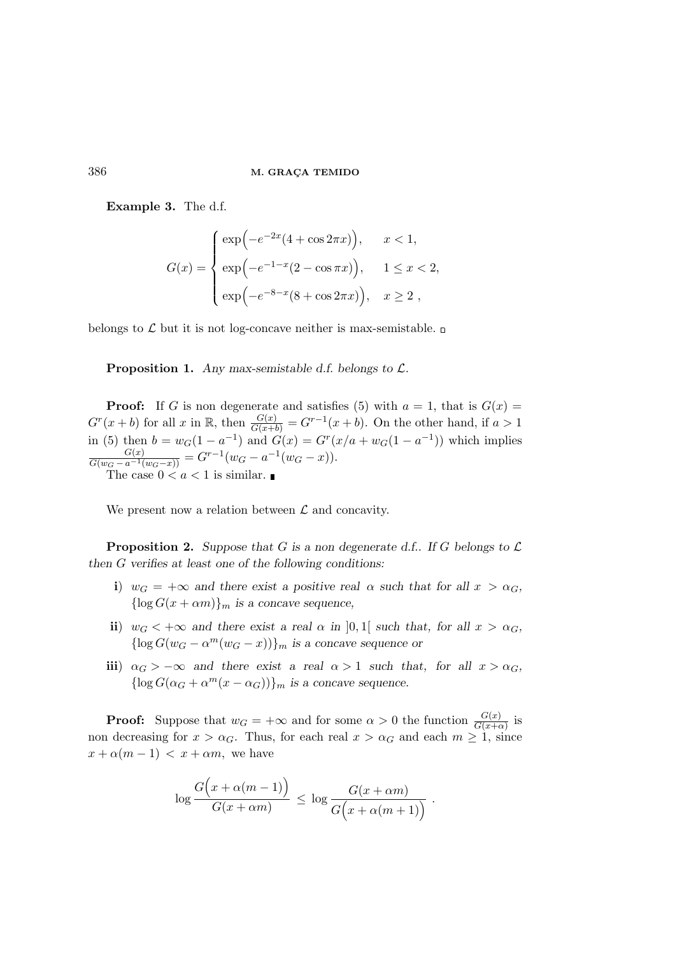Example 3. The d.f.

$$
G(x) = \begin{cases} \exp(-e^{-2x}(4 + \cos 2\pi x)), & x < 1, \\ \exp(-e^{-1-x}(2 - \cos \pi x)), & 1 \le x < 2, \\ \exp(-e^{-8-x}(8 + \cos 2\pi x)), & x \ge 2, \end{cases}
$$

belongs to  $\mathcal L$  but it is not log-concave neither is max-semistable.  $\square$ 

**Proposition 1.** Any max-semistable d.f. belongs to  $\mathcal{L}$ .

**Proof:** If G is non degenerate and satisfies (5) with  $a = 1$ , that is  $G(x) =$  $G^{r}(x+b)$  for all x in R, then  $\frac{G(x)}{G(x+b)} = G^{r-1}(x+b)$ . On the other hand, if  $a > 1$ in (5) then  $b = w_G(1 - a^{-1})$  and  $G(x) = G^r(x/a + w_G(1 - a^{-1}))$  which implies  $\frac{G(x)}{G(w_G - a^{-1}(w_G - x))} = G^{r-1}(w_G - a^{-1}(w_G - x)).$ The case  $0 < a < 1$  is similar.

We present now a relation between  $\mathcal L$  and concavity.

**Proposition 2.** Suppose that G is a non degenerate d.f.. If G belongs to  $\mathcal{L}$ then G verifies at least one of the following conditions:

- i)  $w_G = +\infty$  and there exist a positive real  $\alpha$  such that for all  $x > \alpha_G$ ,  ${\log G(x + \alpha m)}_m$  is a concave sequence,
- ii)  $w_G < +\infty$  and there exist a real  $\alpha$  in [0,1] such that, for all  $x > \alpha_G$ ,  $\{\log G(w_G - \alpha^m(w_G - x))\}_m$  is a concave sequence or
- iii)  $\alpha_G > -\infty$  and there exist a real  $\alpha > 1$  such that, for all  $x > \alpha_G$ ,  $\{\log G(\alpha_G + \alpha^m(x - \alpha_G))\}_m$  is a concave sequence.

**Proof:** Suppose that  $w_G = +\infty$  and for some  $\alpha > 0$  the function  $\frac{G(x)}{G(x+\alpha)}$  is non decreasing for  $x > \alpha_G$ . Thus, for each real  $x > \alpha_G$  and each  $m \ge 1$ , since  $x + \alpha(m-1) < x + \alpha m$ , we have

$$
\log \frac{G(x + \alpha(m-1))}{G(x + \alpha m)} \le \log \frac{G(x + \alpha m)}{G(x + \alpha(m+1))}.
$$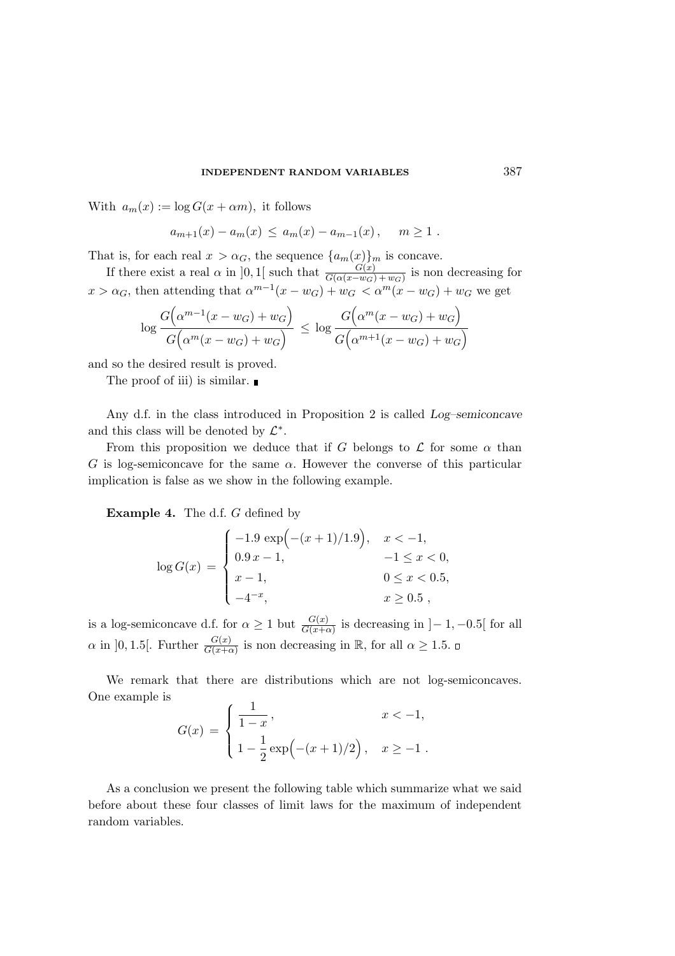#### INDEPENDENT RANDOM VARIABLES 387

With  $a_m(x) := \log G(x + \alpha m)$ , it follows

$$
a_{m+1}(x) - a_m(x) \le a_m(x) - a_{m-1}(x), \quad m \ge 1.
$$

That is, for each real  $x > \alpha_G$ , the sequence  $\{a_m(x)\}_m$  is concave.

If there exist a real  $\alpha$  in [0, 1[ such that  $\frac{G(x)}{G(\alpha(x-w_G)+w_G)}$  is non decreasing for  $x > \alpha_G$ , then attending that  $\alpha^{m-1}(x - w_G) + w_G < \alpha^m(x - w_G) + w_G$  we get

$$
\log \frac{G\left(\alpha^{m-1}(x-w_G) + w_G\right)}{G\left(\alpha^m(x-w_G) + w_G\right)} \le \log \frac{G\left(\alpha^m(x-w_G) + w_G\right)}{G\left(\alpha^{m+1}(x-w_G) + w_G\right)}
$$

and so the desired result is proved.

The proof of iii) is similar.

Any d.f. in the class introduced in Proposition 2 is called Log–semiconcave and this class will be denoted by  $\mathcal{L}^*$ .

From this proposition we deduce that if G belongs to  $\mathcal L$  for some  $\alpha$  than G is log-semiconcave for the same  $\alpha$ . However the converse of this particular implication is false as we show in the following example.

Example 4. The d.f. G defined by

$$
\log G(x) = \begin{cases}\n-1.9 \exp(-(x+1)/1.9), & x < -1, \\
0.9 x - 1, & -1 \le x < 0, \\
x - 1, & 0 \le x < 0.5, \\
-4^{-x}, & x \ge 0.5,\n\end{cases}
$$

is a log-semiconcave d.f. for  $\alpha \geq 1$  but  $\frac{G(x)}{G(x+\alpha)}$  is decreasing in  $]-1, -0.5[$  for all  $\alpha$  in [0, 1.5]. Further  $\frac{G(x)}{G(x+\alpha)}$  is non decreasing in  $\mathbb{R}$ , for all  $\alpha \geq 1.5$ .

We remark that there are distributions which are not log-semiconcaves. One example is

$$
G(x) = \begin{cases} \frac{1}{1-x}, & x < -1, \\ 1 - \frac{1}{2} \exp(-(x+1)/2), & x \ge -1. \end{cases}
$$

As a conclusion we present the following table which summarize what we said before about these four classes of limit laws for the maximum of independent random variables.